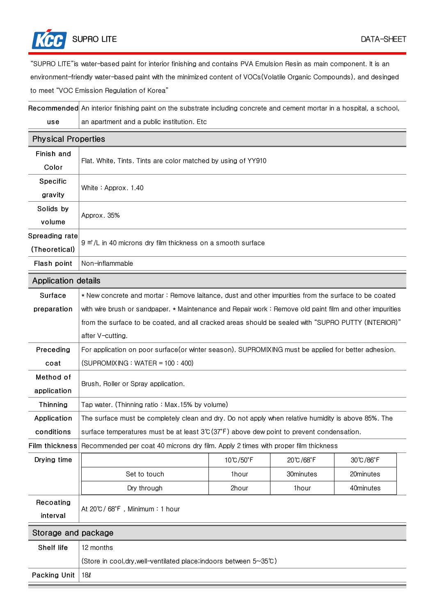

"SUPRO LITE"is water-based paint for interior finishing and contains PVA Emulsion Resin as main component. It is an environment-friendly water-based paint with the minimized content of VOCs(Volatile Organic Compounds), and desinged to meet "VOC Emission Regulation of Korea"

Recommended An interior finishing paint on the substrate including concrete and cement mortar in a hospital, a school, use an apartment and a public institution. Etc

| <b>Physical Properties</b>      |                                                                                                         |          |           |           |  |
|---------------------------------|---------------------------------------------------------------------------------------------------------|----------|-----------|-----------|--|
| Finish and<br>Color             | Flat. White, Tints. Tints are color matched by using of YY910                                           |          |           |           |  |
| Specific<br>gravity             | White: Approx. 1.40                                                                                     |          |           |           |  |
| Solids by<br>volume             | Approx. 35%                                                                                             |          |           |           |  |
| Spreading rate<br>(Theoretical) | 9 m <sup>2</sup> /L in 40 microns dry film thickness on a smooth surface                                |          |           |           |  |
| Flash point                     | Non-inflammable                                                                                         |          |           |           |  |
| <b>Application details</b>      |                                                                                                         |          |           |           |  |
| Surface                         | * New concrete and mortar: Remove laitance, dust and other impurities from the surface to be coated     |          |           |           |  |
| preparation                     | with wire brush or sandpaper. * Maintenance and Repair work: Remove old paint film and other impurities |          |           |           |  |
|                                 | from the surface to be coated, and all cracked areas should be sealed with "SUPRO PUTTY (INTERIOR)"     |          |           |           |  |
|                                 | after V-cutting.                                                                                        |          |           |           |  |
| Preceding                       | For application on poor surface(or winter season). SUPROMIXING must be applied for better adhesion.     |          |           |           |  |
| coat                            | $(SUPROMIXING : WATER = 100 : 400)$                                                                     |          |           |           |  |
| Method of<br>application        | Brush, Roller or Spray application.                                                                     |          |           |           |  |
| Thinning                        | Tap water. (Thinning ratio: Max.15% by volume)                                                          |          |           |           |  |
| Application                     | The surface must be completely clean and dry. Do not apply when relative humidity is above 85%. The     |          |           |           |  |
| conditions                      | surface temperatures must be at least $3^{\circ}$ (37°F) above dew point to prevent condensation.       |          |           |           |  |
| <b>Film thickness</b>           | Recommended per coat 40 microns dry film. Apply 2 times with proper film thickness                      |          |           |           |  |
| Drying time                     |                                                                                                         | 10℃/50°F | 20℃/68°F  | 30℃/86°F  |  |
|                                 | Set to touch                                                                                            | 1hour    | 30minutes | 20minutes |  |
|                                 | Dry through                                                                                             | 2hour    | 1hour     | 40minutes |  |
| Recoating<br>interval           | At 20℃/68°F, Minimum: 1 hour                                                                            |          |           |           |  |
| Storage and package             |                                                                                                         |          |           |           |  |
| Shelf life                      | 12 months                                                                                               |          |           |           |  |
|                                 | (Store in cool, dry, well-ventilated place; indoors between 5~35°C)                                     |          |           |           |  |
| Packing Unit                    | 18l                                                                                                     |          |           |           |  |